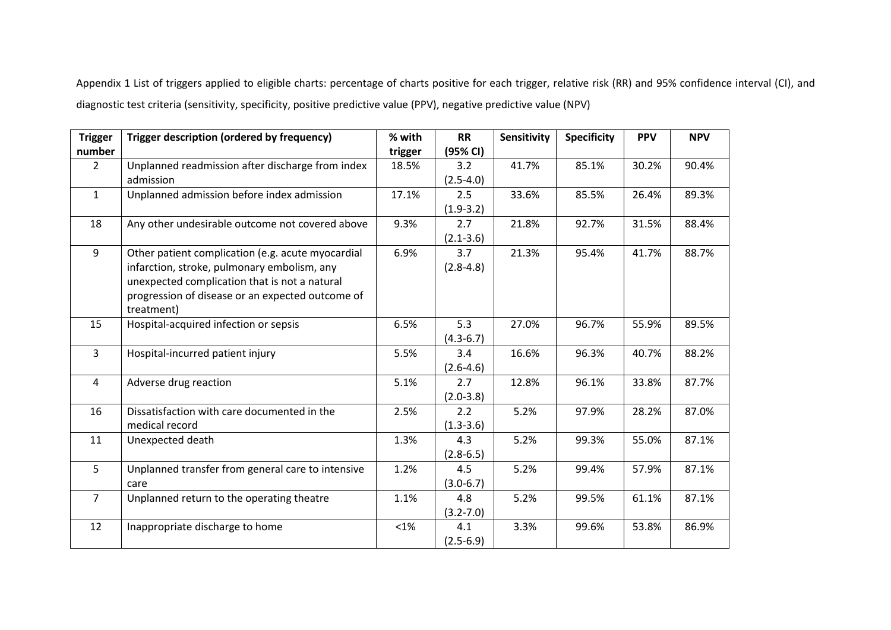Appendix 1 List of triggers applied to eligible charts: percentage of charts positive for each trigger, relative risk (RR) and 95% confidence interval (CI), and diagnostic test criteria (sensitivity, specificity, positive predictive value (PPV), negative predictive value (NPV)

| <b>Trigger</b> | Trigger description (ordered by frequency)        | % with  | <b>RR</b>     | Sensitivity | <b>Specificity</b> | <b>PPV</b> | <b>NPV</b> |
|----------------|---------------------------------------------------|---------|---------------|-------------|--------------------|------------|------------|
| number         |                                                   | trigger | (95% CI)      |             |                    |            |            |
| $2^{\circ}$    | Unplanned readmission after discharge from index  | 18.5%   | 3.2           | 41.7%       | 85.1%              | 30.2%      | 90.4%      |
|                | admission                                         |         | $(2.5 - 4.0)$ |             |                    |            |            |
| $\mathbf{1}$   | Unplanned admission before index admission        | 17.1%   | 2.5           | 33.6%       | 85.5%              | 26.4%      | 89.3%      |
|                |                                                   |         | $(1.9-3.2)$   |             |                    |            |            |
| 18             | Any other undesirable outcome not covered above   | 9.3%    | 2.7           | 21.8%       | 92.7%              | 31.5%      | 88.4%      |
|                |                                                   |         | $(2.1 - 3.6)$ |             |                    |            |            |
| 9              | Other patient complication (e.g. acute myocardial | 6.9%    | 3.7           | 21.3%       | 95.4%              | 41.7%      | 88.7%      |
|                | infarction, stroke, pulmonary embolism, any       |         | $(2.8 - 4.8)$ |             |                    |            |            |
|                | unexpected complication that is not a natural     |         |               |             |                    |            |            |
|                | progression of disease or an expected outcome of  |         |               |             |                    |            |            |
|                | treatment)                                        |         |               |             |                    |            |            |
| 15             | Hospital-acquired infection or sepsis             | 6.5%    | 5.3           | 27.0%       | 96.7%              | 55.9%      | 89.5%      |
|                |                                                   |         | $(4.3 - 6.7)$ |             |                    |            |            |
| $\overline{3}$ | Hospital-incurred patient injury                  | 5.5%    | 3.4           | 16.6%       | 96.3%              | 40.7%      | 88.2%      |
|                |                                                   |         | $(2.6 - 4.6)$ |             |                    |            |            |
| $\overline{4}$ | Adverse drug reaction                             | 5.1%    | 2.7           | 12.8%       | 96.1%              | 33.8%      | 87.7%      |
|                |                                                   |         | $(2.0-3.8)$   |             |                    |            |            |
| 16             | Dissatisfaction with care documented in the       | 2.5%    | 2.2           | 5.2%        | 97.9%              | 28.2%      | 87.0%      |
|                | medical record                                    |         | $(1.3 - 3.6)$ |             |                    |            |            |
| 11             | Unexpected death                                  | 1.3%    | 4.3           | 5.2%        | 99.3%              | 55.0%      | 87.1%      |
|                |                                                   |         | $(2.8 - 6.5)$ |             |                    |            |            |
| 5              | Unplanned transfer from general care to intensive | 1.2%    | 4.5           | 5.2%        | 99.4%              | 57.9%      | 87.1%      |
|                | care                                              |         | $(3.0 - 6.7)$ |             |                    |            |            |
| $\overline{7}$ | Unplanned return to the operating theatre         | 1.1%    | 4.8           | 5.2%        | 99.5%              | 61.1%      | 87.1%      |
|                |                                                   |         | $(3.2 - 7.0)$ |             |                    |            |            |
| 12             | Inappropriate discharge to home                   | $< 1\%$ | 4.1           | 3.3%        | 99.6%              | 53.8%      | 86.9%      |
|                |                                                   |         | $(2.5 - 6.9)$ |             |                    |            |            |